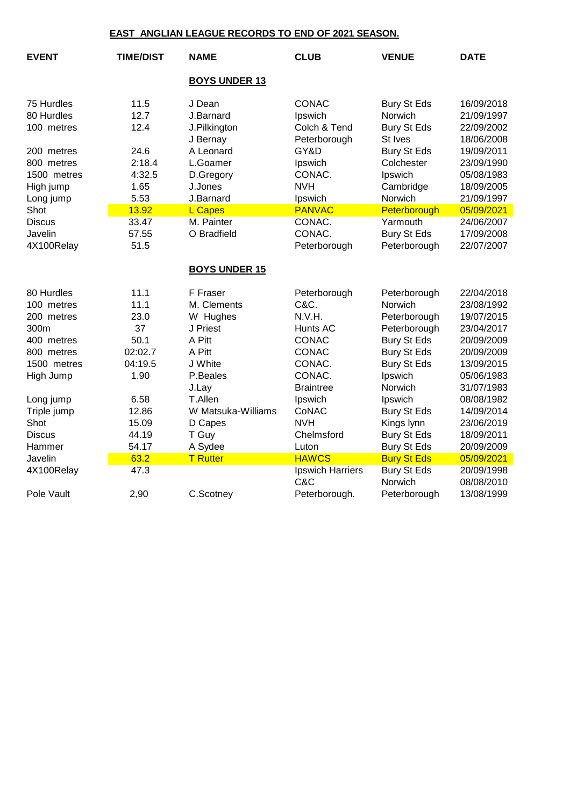## **EAST ANGLIAN LEAGUE RECORDS TO END OF 2021 SEASON.**

| <b>EVENT</b>  | <b>TIME/DIST</b> | <b>NAME</b>              | <b>CLUB</b>                  | <b>VENUE</b>                  | <b>DATE</b>              |  |  |
|---------------|------------------|--------------------------|------------------------------|-------------------------------|--------------------------|--|--|
|               |                  | <b>BOYS UNDER 13</b>     |                              |                               |                          |  |  |
| 75 Hurdles    | 11.5             | J Dean                   | <b>CONAC</b>                 | <b>Bury St Eds</b>            | 16/09/2018               |  |  |
| 80 Hurdles    | 12.7             | J.Barnard                | Ipswich                      | Norwich                       | 21/09/1997               |  |  |
| 100 metres    | 12.4             | J.Pilkington<br>J Bernay | Colch & Tend<br>Peterborough | <b>Bury St Eds</b><br>St Ives | 22/09/2002<br>18/06/2008 |  |  |
| 200 metres    | 24.6             | A Leonard                | GY&D                         | Bury St Eds                   | 19/09/2011               |  |  |
| 800 metres    | 2:18.4           | L.Goamer                 | Ipswich                      | Colchester                    | 23/09/1990               |  |  |
| 1500 metres   | 4:32.5           | D.Gregory                | CONAC.                       | Ipswich                       | 05/08/1983               |  |  |
| High jump     | 1.65             | J.Jones                  | <b>NVH</b>                   | Cambridge                     | 18/09/2005               |  |  |
| Long jump     | 5.53             | J.Barnard                | Ipswich                      | Norwich                       | 21/09/1997               |  |  |
| Shot          | 13.92            | <b>L Capes</b>           | <b>PANVAC</b>                | Peterborough                  | 05/09/2021               |  |  |
| <b>Discus</b> | 33.47            | M. Painter               | CONAC.                       | Yarmouth                      | 24/06/2007               |  |  |
| Javelin       | 57.55            | O Bradfield              | CONAC.                       | <b>Bury St Eds</b>            | 17/09/2008               |  |  |
| 4X100Relay    | 51.5             |                          | Peterborough                 | Peterborough                  | 22/07/2007               |  |  |
|               |                  | <b>BOYS UNDER 15</b>     |                              |                               |                          |  |  |
| 80 Hurdles    | 11.1             | F Fraser                 | Peterborough                 | Peterborough                  | 22/04/2018               |  |  |
| 100 metres    | 11.1             | M. Clements              | C&C.                         | Norwich                       | 23/08/1992               |  |  |
| 200 metres    | 23.0             | W Hughes                 | N.V.H.                       | Peterborough                  | 19/07/2015               |  |  |
| 300m          | 37               | J Priest                 | Hunts AC                     | Peterborough                  | 23/04/2017               |  |  |
| 400 metres    | 50.1             | A Pitt                   | <b>CONAC</b>                 | <b>Bury St Eds</b>            | 20/09/2009               |  |  |
| 800 metres    | 02:02.7          | A Pitt                   | <b>CONAC</b>                 | <b>Bury St Eds</b>            | 20/09/2009               |  |  |
| 1500 metres   | 04:19.5          | J White                  | CONAC.                       | <b>Bury St Eds</b>            | 13/09/2015               |  |  |
| High Jump     | 1.90             | P.Beales                 | CONAC.                       | Ipswich                       | 05/06/1983               |  |  |
|               |                  | J.Lay                    | <b>Braintree</b>             | Norwich                       | 31/07/1983               |  |  |
| Long jump     | 6.58             | T.Allen                  | Ipswich                      | Ipswich                       | 08/08/1982               |  |  |
| Triple jump   | 12.86            | W Matsuka-Williams       | CoNAC                        | <b>Bury St Eds</b>            | 14/09/2014               |  |  |
| Shot          | 15.09            | D Capes                  | <b>NVH</b>                   | Kings lynn                    | 23/06/2019               |  |  |
| <b>Discus</b> | 44.19            | T Guy                    | Chelmsford                   | <b>Bury St Eds</b>            | 18/09/2011               |  |  |
| Hammer        | 54.17            | A Sydee                  | Luton                        | <b>Bury St Eds</b>            | 20/09/2009               |  |  |
| Javelin       | 63.2             | <b>T</b> Rutter          | <b>HAWCS</b>                 | <b>Bury St Eds</b>            | 05/09/2021               |  |  |
| 4X100Relay    | 47.3             |                          | Ipswich Harriers             | Bury St Eds                   | 20/09/1998               |  |  |
|               |                  |                          | C&C                          | Norwich                       | 08/08/2010               |  |  |
| Pole Vault    | 2,90             | C.Scotney                | Peterborough.                | Peterborough                  | 13/08/1999               |  |  |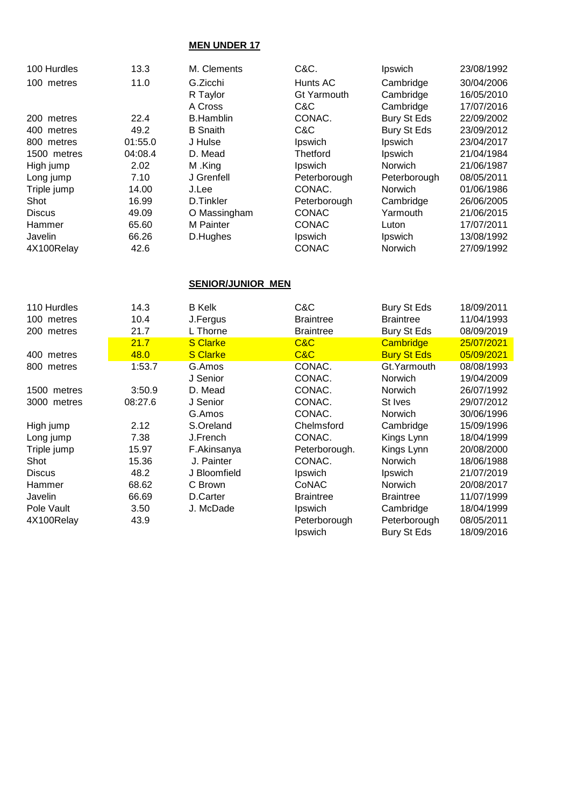## **MEN UNDER 17**

| 100 Hurdles   | 13.3    | M. Clements              | C&C.             | <b>Ipswich</b>     | 23/08/1992 |
|---------------|---------|--------------------------|------------------|--------------------|------------|
| 100 metres    | 11.0    | G.Zicchi                 | Hunts AC         | Cambridge          | 30/04/2006 |
|               |         | R Taylor                 | Gt Yarmouth      | Cambridge          | 16/05/2010 |
|               |         | A Cross                  | C&C              | Cambridge          | 17/07/2016 |
| 200 metres    | 22.4    | <b>B.Hamblin</b>         | CONAC.           | Bury St Eds        | 22/09/2002 |
| 400 metres    | 49.2    | <b>B</b> Snaith          | C&C              | Bury St Eds        | 23/09/2012 |
| 800 metres    | 01:55.0 | J Hulse                  | Ipswich          | Ipswich            | 23/04/2017 |
| 1500 metres   | 04:08.4 | D. Mead                  | Thetford         | <b>Ipswich</b>     | 21/04/1984 |
| High jump     | 2.02    | M.King                   | Ipswich          | <b>Norwich</b>     | 21/06/1987 |
| Long jump     | 7.10    | J Grenfell               | Peterborough     | Peterborough       | 08/05/2011 |
| Triple jump   | 14.00   | J.Lee                    | CONAC.           | <b>Norwich</b>     | 01/06/1986 |
| Shot          | 16.99   | D.Tinkler                | Peterborough     | Cambridge          | 26/06/2005 |
| <b>Discus</b> | 49.09   | O Massingham             | <b>CONAC</b>     | Yarmouth           | 21/06/2015 |
| Hammer        | 65.60   | M Painter                | <b>CONAC</b>     | Luton              | 17/07/2011 |
| Javelin       | 66.26   | D.Hughes                 | Ipswich          | <b>Ipswich</b>     | 13/08/1992 |
| 4X100Relay    | 42.6    |                          | <b>CONAC</b>     | Norwich            | 27/09/1992 |
|               |         | <b>SENIOR/JUNIOR MEN</b> |                  |                    |            |
| 110 Hurdles   | 14.3    | <b>B</b> Kelk            | C&C              | <b>Bury St Eds</b> | 18/09/2011 |
| 100 metres    | 10.4    | J.Fergus                 | <b>Braintree</b> | <b>Braintree</b>   | 11/04/1993 |
|               |         |                          |                  |                    |            |

| טט וווטעוט    | .       | u.rurguu        | uunuv            | uunuv              | . <del>. .</del> |
|---------------|---------|-----------------|------------------|--------------------|------------------|
| 200 metres    | 21.7    | L Thorne        | <b>Braintree</b> | <b>Bury St Eds</b> | 08/09/2019       |
|               | 21.7    | <b>S</b> Clarke | C&C              | Cambridge          | 25/07/2021       |
| 400 metres    | 48.0    | <b>S</b> Clarke | C&C              | <b>Bury St Eds</b> | 05/09/2021       |
| 800 metres    | 1:53.7  | G.Amos          | CONAC.           | Gt. Yarmouth       | 08/08/1993       |
|               |         | J Senior        | CONAC.           | <b>Norwich</b>     | 19/04/2009       |
| 1500 metres   | 3:50.9  | D. Mead         | CONAC.           | Norwich            | 26/07/1992       |
| 3000 metres   | 08:27.6 | J Senior        | CONAC.           | St Ives            | 29/07/2012       |
|               |         | G.Amos          | CONAC.           | <b>Norwich</b>     | 30/06/1996       |
| High jump     | 2.12    | S.Oreland       | Chelmsford       | Cambridge          | 15/09/1996       |
| Long jump     | 7.38    | J.French        | CONAC.           | Kings Lynn         | 18/04/1999       |
| Triple jump   | 15.97   | F.Akinsanya     | Peterborough.    | Kings Lynn         | 20/08/2000       |
| Shot          | 15.36   | J. Painter      | CONAC.           | <b>Norwich</b>     | 18/06/1988       |
| <b>Discus</b> | 48.2    | J Bloomfield    | Ipswich          | <b>Ipswich</b>     | 21/07/2019       |
| Hammer        | 68.62   | C Brown         | CoNAC            | <b>Norwich</b>     | 20/08/2017       |
| Javelin       | 66.69   | D.Carter        | <b>Braintree</b> | <b>Braintree</b>   | 11/07/1999       |
| Pole Vault    | 3.50    | J. McDade       | <b>Ipswich</b>   | Cambridge          | 18/04/1999       |
| 4X100Relay    | 43.9    |                 | Peterborough     | Peterborough       | 08/05/2011       |
|               |         |                 | Ipswich          | <b>Bury St Eds</b> | 18/09/2016       |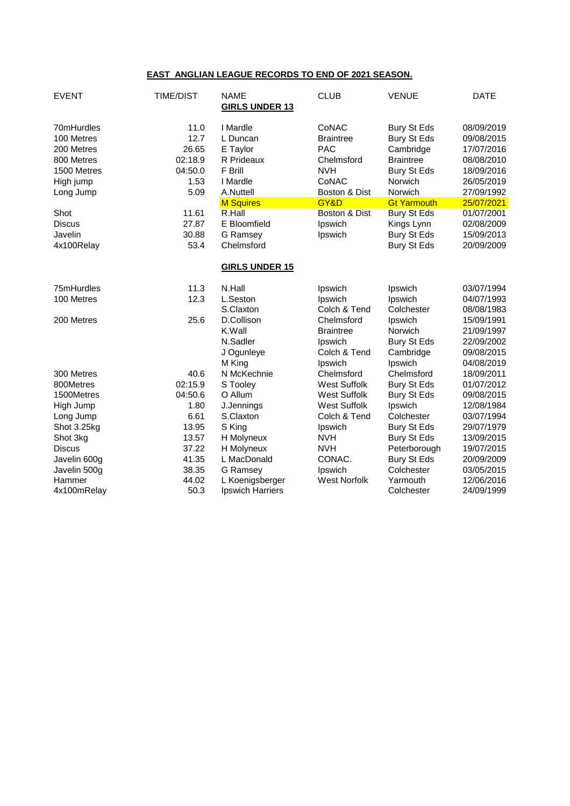## **EAST ANGLIAN LEAGUE RECORDS TO END OF 2021 SEASON.**

| <b>EVENT</b>                                                                                                                                    | <b>TIME/DIST</b>                                                                               | <b>NAME</b><br><b>GIRLS UNDER 13</b>                                                                                                                       | <b>CLUB</b>                                                                                                                                  | <b>VENUE</b>                                                                                                                                                                                           | <b>DATE</b>                                                                                                                                                          |
|-------------------------------------------------------------------------------------------------------------------------------------------------|------------------------------------------------------------------------------------------------|------------------------------------------------------------------------------------------------------------------------------------------------------------|----------------------------------------------------------------------------------------------------------------------------------------------|--------------------------------------------------------------------------------------------------------------------------------------------------------------------------------------------------------|----------------------------------------------------------------------------------------------------------------------------------------------------------------------|
| 70mHurdles<br>100 Metres<br>200 Metres<br>800 Metres<br>1500 Metres<br>High jump<br>Long Jump<br>Shot<br><b>Discus</b><br>Javelin<br>4x100Relay | 11.0<br>12.7<br>26.65<br>02:18.9<br>04:50.0<br>1.53<br>5.09<br>11.61<br>27.87<br>30.88<br>53.4 | I Mardle<br>L Duncan<br>E Taylor<br>R Prideaux<br>F Brill<br>I Mardle<br>A.Nuttell<br><b>M Squires</b><br>R.Hall<br>E Bloomfield<br>G Ramsey<br>Chelmsford | CoNAC<br><b>Braintree</b><br><b>PAC</b><br>Chelmsford<br><b>NVH</b><br>CoNAC<br>Boston & Dist<br>GY&D<br>Boston & Dist<br>Ipswich<br>Ipswich | <b>Bury St Eds</b><br>Bury St Eds<br>Cambridge<br><b>Braintree</b><br><b>Bury St Eds</b><br>Norwich<br>Norwich<br><b>Gt Yarmouth</b><br><b>Bury St Eds</b><br>Kings Lynn<br>Bury St Eds<br>Bury St Eds | 08/09/2019<br>09/08/2015<br>17/07/2016<br>08/08/2010<br>18/09/2016<br>26/05/2019<br>27/09/1992<br>25/07/2021<br>01/07/2001<br>02/08/2009<br>15/09/2013<br>20/09/2009 |
|                                                                                                                                                 |                                                                                                | <b>GIRLS UNDER 15</b>                                                                                                                                      |                                                                                                                                              |                                                                                                                                                                                                        |                                                                                                                                                                      |
| 75mHurdles<br>100 Metres                                                                                                                        | 11.3<br>12.3                                                                                   | N.Hall<br>L.Seston<br>S.Claxton                                                                                                                            | Ipswich<br>Ipswich<br>Colch & Tend                                                                                                           | Ipswich<br>Ipswich<br>Colchester                                                                                                                                                                       | 03/07/1994<br>04/07/1993<br>08/08/1983                                                                                                                               |
| 200 Metres                                                                                                                                      | 25.6                                                                                           | D.Collison<br>K.Wall<br>N.Sadler<br>J Ogunleye<br>M King                                                                                                   | Chelmsford<br><b>Braintree</b><br>Ipswich<br>Colch & Tend<br>Ipswich                                                                         | Ipswich<br>Norwich<br>Bury St Eds<br>Cambridge<br>Ipswich                                                                                                                                              | 15/09/1991<br>21/09/1997<br>22/09/2002<br>09/08/2015<br>04/08/2019                                                                                                   |
| 300 Metres                                                                                                                                      | 40.6                                                                                           | N McKechnie                                                                                                                                                | Chelmsford                                                                                                                                   | Chelmsford                                                                                                                                                                                             | 18/09/2011                                                                                                                                                           |
| 800Metres                                                                                                                                       | 02:15.9                                                                                        | S Tooley                                                                                                                                                   | <b>West Suffolk</b>                                                                                                                          | Bury St Eds                                                                                                                                                                                            | 01/07/2012                                                                                                                                                           |
| 1500Metres                                                                                                                                      | 04:50.6                                                                                        | O Allum                                                                                                                                                    | <b>West Suffolk</b>                                                                                                                          | <b>Bury St Eds</b>                                                                                                                                                                                     | 09/08/2015                                                                                                                                                           |
| High Jump                                                                                                                                       | 1.80                                                                                           | J.Jennings                                                                                                                                                 | <b>West Suffolk</b>                                                                                                                          | Ipswich                                                                                                                                                                                                | 12/08/1984                                                                                                                                                           |
| Long Jump<br>Shot 3.25kg                                                                                                                        | 6.61<br>13.95                                                                                  | S.Claxton<br>S King                                                                                                                                        | Colch & Tend<br>Ipswich                                                                                                                      | Colchester<br>Bury St Eds                                                                                                                                                                              | 03/07/1994<br>29/07/1979                                                                                                                                             |
| Shot 3kg                                                                                                                                        | 13.57                                                                                          | H Molyneux                                                                                                                                                 | <b>NVH</b>                                                                                                                                   | <b>Bury St Eds</b>                                                                                                                                                                                     | 13/09/2015                                                                                                                                                           |
| <b>Discus</b>                                                                                                                                   | 37.22                                                                                          | H Molyneux                                                                                                                                                 | <b>NVH</b>                                                                                                                                   | Peterborough                                                                                                                                                                                           | 19/07/2015                                                                                                                                                           |
| Javelin 600g                                                                                                                                    | 41.35                                                                                          | L MacDonald                                                                                                                                                | CONAC.                                                                                                                                       | <b>Bury St Eds</b>                                                                                                                                                                                     | 20/09/2009                                                                                                                                                           |
| Javelin 500g                                                                                                                                    | 38.35                                                                                          | G Ramsey                                                                                                                                                   | Ipswich                                                                                                                                      | Colchester                                                                                                                                                                                             | 03/05/2015                                                                                                                                                           |
| Hammer<br>4x100mRelay                                                                                                                           | 44.02<br>50.3                                                                                  | L Koenigsberger<br>Ipswich Harriers                                                                                                                        | <b>West Norfolk</b>                                                                                                                          | Yarmouth<br>Colchester                                                                                                                                                                                 | 12/06/2016<br>24/09/1999                                                                                                                                             |